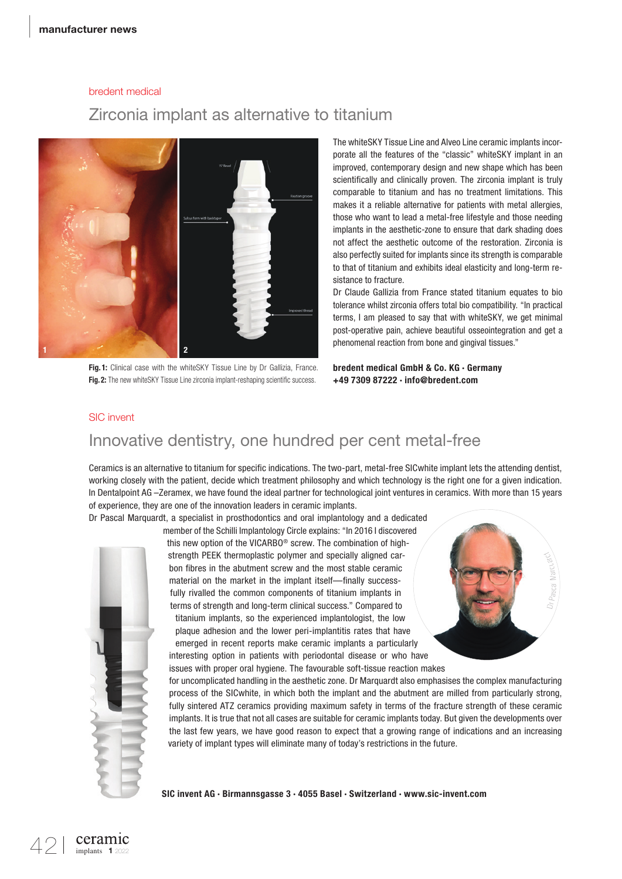# bredent medical

## Zirconia implant as alternative to titanium



Fig. 1: Clinical case with the whiteSKY Tissue Line by Dr Gallizia, France. Fig. 2: The new whiteSKY Tissue Line zirconia implant-reshaping scientific success.

The whiteSKY Tissue Line and Alveo Line ceramic implants incorporate all the features of the "classic" whiteSKY implant in an improved, contemporary design and new shape which has been scientifically and clinically proven. The zirconia implant is truly comparable to titanium and has no treatment limitations. This makes it a reliable alternative for patients with metal allergies, those who want to lead a metal-free lifestyle and those needing implants in the aesthetic-zone to ensure that dark shading does not affect the aesthetic outcome of the restoration. Zirconia is also perfectly suited for implants since its strength is comparable to that of titanium and exhibits ideal elasticity and long-term resistance to fracture.

Dr Claude Gallizia from France stated titanium equates to bio tolerance whilst zirconia offers total bio compatibility. "In practical terms, I am pleased to say that with whiteSKY, we get minimal post-operative pain, achieve beautiful osseointegration and get a phenomenal reaction from bone and gingival tissues."

bredent medical GmbH & Co. KG · Germany +49 7309 87222 · info@bredent.com

#### SIC invent

# Innovative dentistry, one hundred per cent metal-free

Ceramics is an alternative to titanium for specific indications. The two-part, metal-free SICwhite implant lets the attending dentist, working closely with the patient, decide which treatment philosophy and which technology is the right one for a given indication. In Dentalpoint AG –Zeramex, we have found the ideal partner for technological joint ventures in ceramics. With more than 15 years of experience, they are one of the innovation leaders in ceramic implants.

Dr Pascal Marquardt, a specialist in prosthodontics and oral implantology and a dedicated member of the Schilli Implantology Circle explains: "In 2016 I discovered



this new option of the VICARBO® screw. The combination of highstrength PEEK thermoplastic polymer and specially aligned carbon fibres in the abutment screw and the most stable ceramic material on the market in the implant itself—finally successfully rivalled the common components of titanium implants in terms of strength and long-term clinical success." Compared to titanium implants, so the experienced implantologist, the low plaque adhesion and the lower peri-implantitis rates that have emerged in recent reports make ceramic implants a particularly interesting option in patients with periodontal disease or who have

issues with proper oral hygiene. The favourable soft- tissue reaction makes



for uncomplicated handling in the aesthetic zone. Dr Marquardt also emphasises the complex manufacturing process of the SICwhite, in which both the implant and the abutment are milled from particularly strong, fully sintered ATZ ceramics providing maximum safety in terms of the fracture strength of these ceramic implants. It is true that not all cases are suitable for ceramic implants today. But given the developments over the last few years, we have good reason to expect that a growing range of indications and an increasing variety of implant types will eliminate many of today's restrictions in the future.

SIC invent AG · Birmannsgasse 3 · 4055 Basel · Switzerland · www.sic-invent.com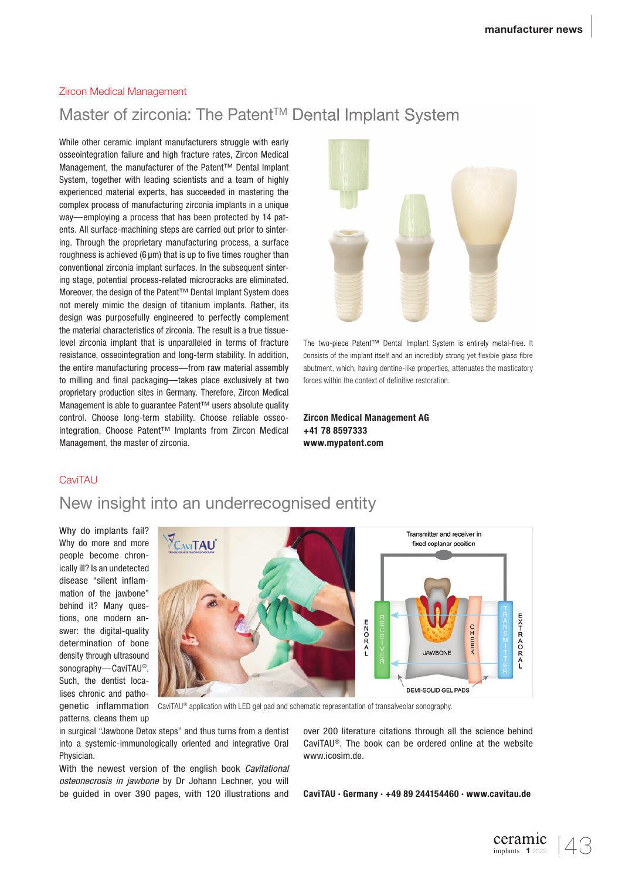#### Zircon Medical Management

# Master of zirconia: The Patent™ Dental Implant System

While other ceramic implant manufacturers struggle with early osseointegration failure and high fracture rates, Zircon Medical Management, the manufacturer of the Patent™ Dental Implant System, together with leading scientists and a team of highly experienced material experts, has succeeded in mastering the complex process of manufacturing zirconia implants in a unique way—employing a process that has been protected by 14 patents. All surface-machining steps are carried out prior to sintering. Through the proprietary manufacturing process, a surface roughness is achieved (6  $\mu$ m) that is up to five times rougher than conventional zirconia implant surfaces. In the subsequent sintering stage, potential process-related microcracks are eliminated. Moreover, the design of the Patent™ Dental Implant System does not merely mimic the design of titanium implants. Rather, its design was purposefully engineered to perfectly complement the material characteristics of zirconia. The result is a true tissuelevel zirconia implant that is unparalleled in terms of fracture resistance, osseointegration and long-term stability. In addition, the entire manufacturing process—from raw material assembly to milling and final packaging—takes place exclusively at two proprietary production sites in Germany. Therefore, Zircon Medical Management is able to guarantee Patent™ users absolute quality control. Choose long-term stability. Choose reliable osseointegration. Choose Patent™ Implants from Zircon Medical Management, the master of zirconia.



The two-piece Patent™ Dental Implant System is entirely metal-free. It consists of the implant itself and an incredibly strong yet flexible glass fibre abutment, which, having dentine-like properties, attenuates the masticatory forces within the context of definitive restoration.

Zircon Medical Management AG +41 78 8597333 www.mypatent.com

#### **CaviTAU**

# New insight into an underrecognised entity

Why do implants fail? Why do more and more people become chronically ill? Is an undetected disease "silent inflammation of the jawbone" behind it? Many questions, one modern answer: the digital-quality determination of bone density through ultrasound sonography—CaviTAU®. Such, the dentist localises chronic and pathogenetic inflammation patterns, cleans them up



CaviTAU® application with LED gel pad and schematic representation of transalveolar sonography.

in surgical "Jawbone Detox steps" and thus turns from a dentist into a systemic-immunologically oriented and integrative Oral Physician.

With the newest version of the english book *Cavitational osteonecrosis in jawbone* by Dr Johann Lechner, you will be guided in over 390 pages, with 120 illustrations and

over 200 literature citations through all the science behind CaviTAU®. The book can be ordered online at the website www.icosim.de.

CaviTAU · Germany · +49 89 244154460 · www.cavitau.de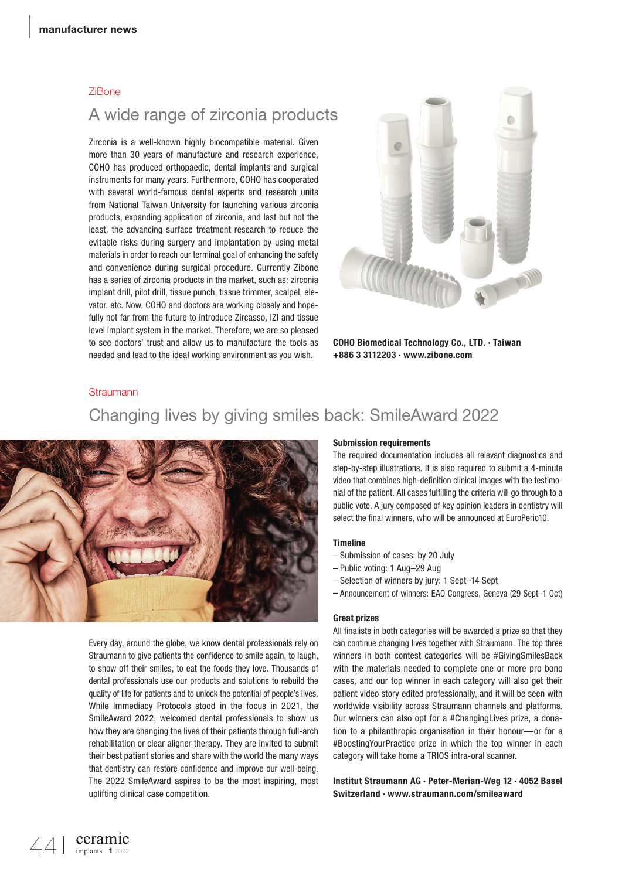#### ZiBone

# A wide range of zirconia products

Zirconia is a well-known highly biocompatible material. Given more than 30 years of manufacture and research experience, COHO has produced orthopaedic, dental implants and surgical instruments for many years. Furthermore, COHO has cooperated with several world-famous dental experts and research units from National Taiwan University for launching various zirconia products, expanding application of zirconia, and last but not the least, the advancing surface treatment research to reduce the evitable risks during surgery and implantation by using metal materials in order to reach our terminal goal of enhancing the safety and convenience during surgical procedure. Currently Zibone has a series of zirconia products in the market, such as: zirconia implant drill, pilot drill, tissue punch, tissue trimmer, scalpel, elevator, etc. Now, COHO and doctors are working closely and hopefully not far from the future to introduce Zircasso, IZI and tissue level implant system in the market. Therefore, we are so pleased to see doctors' trust and allow us to manufacture the tools as needed and lead to the ideal working environment as you wish.



COHO Biomedical Technology Co., LTD. · Taiwan +886 3 3112203 · www.zibone.com

#### **Straumann**

# Changing lives by giving smiles back: SmileAward 2022



Every day, around the globe, we know dental professionals rely on Straumann to give patients the confidence to smile again, to laugh, to show off their smiles, to eat the foods they love. Thousands of dental professionals use our products and solutions to rebuild the quality of life for patients and to unlock the potential of people's lives. While Immediacy Protocols stood in the focus in 2021, the SmileAward 2022, welcomed dental professionals to show us how they are changing the lives of their patients through full-arch rehabilitation or clear aligner therapy. They are invited to submit their best patient stories and share with the world the many ways that dentistry can restore confidence and improve our well-being. The 2022 SmileAward aspires to be the most inspiring, most uplifting clinical case competition.

#### Submission requirements

The required documentation includes all relevant diagnostics and step-by-step illustrations. It is also required to submit a 4-minute video that combines high-definition clinical images with the testimonial of the patient. All cases fulfilling the criteria will go through to a public vote. A jury composed of key opinion leaders in dentistry will select the final winners, who will be announced at EuroPerio10.

#### Timeline

- Submission of cases: by 20 July
- Public voting: 1 Aug–29 Aug
- Selection of winners by jury: 1 Sept–14 Sept
- Announcement of winners: EAO Congress, Geneva (29 Sept–1 Oct)

#### Great prizes

All finalists in both categories will be awarded a prize so that they can continue changing lives together with Straumann. The top three winners in both contest categories will be #GivingSmilesBack with the materials needed to complete one or more pro bono cases, and our top winner in each category will also get their patient video story edited professionally, and it will be seen with worldwide visibility across Straumann channels and platforms. Our winners can also opt for a #ChangingLives prize, a donation to a philanthropic organisation in their honour—or for a #BoostingYourPractice prize in which the top winner in each category will take home a TRIOS intra-oral scanner.

Institut Straumann AG · Peter-Merian-Weg 12 · 4052 Basel Switzerland · www.straumann.com/smileaward